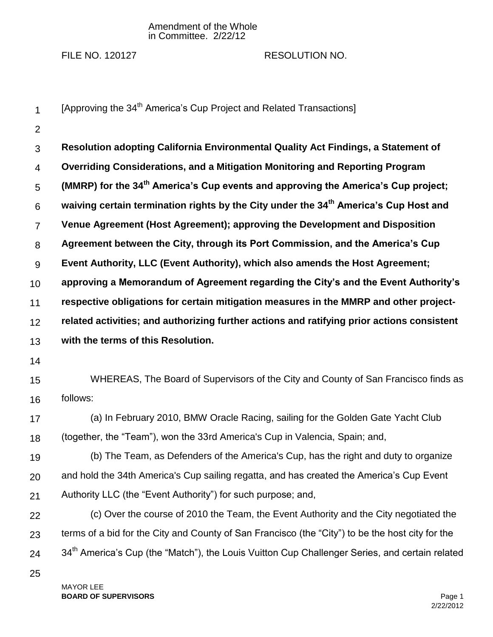## Amendment of the Whole in Committee. 2/22/12

## FILE NO. 120127 RESOLUTION NO.

1 2 3 4 5 6 7 8 9 10 11 12 13 14 15 16 17 18 19 20 21 22 23 24 25 [Approving the 34<sup>th</sup> America's Cup Project and Related Transactions] **Resolution adopting California Environmental Quality Act Findings, a Statement of Overriding Considerations, and a Mitigation Monitoring and Reporting Program (MMRP) for the 34th America's Cup events and approving the America's Cup project; waiving certain termination rights by the City under the 34th America's Cup Host and Venue Agreement (Host Agreement); approving the Development and Disposition Agreement between the City, through its Port Commission, and the America's Cup Event Authority, LLC (Event Authority), which also amends the Host Agreement; approving a Memorandum of Agreement regarding the City's and the Event Authority's respective obligations for certain mitigation measures in the MMRP and other projectrelated activities; and authorizing further actions and ratifying prior actions consistent with the terms of this Resolution.**  WHEREAS, The Board of Supervisors of the City and County of San Francisco finds as follows: (a) In February 2010, BMW Oracle Racing, sailing for the Golden Gate Yacht Club (together, the "Team"), won the 33rd America's Cup in Valencia, Spain; and, (b) The Team, as Defenders of the America's Cup, has the right and duty to organize and hold the 34th America's Cup sailing regatta, and has created the America's Cup Event Authority LLC (the "Event Authority") for such purpose; and, (c) Over the course of 2010 the Team, the Event Authority and the City negotiated the terms of a bid for the City and County of San Francisco (the "City") to be the host city for the 34<sup>th</sup> America's Cup (the "Match"), the Louis Vuitton Cup Challenger Series, and certain related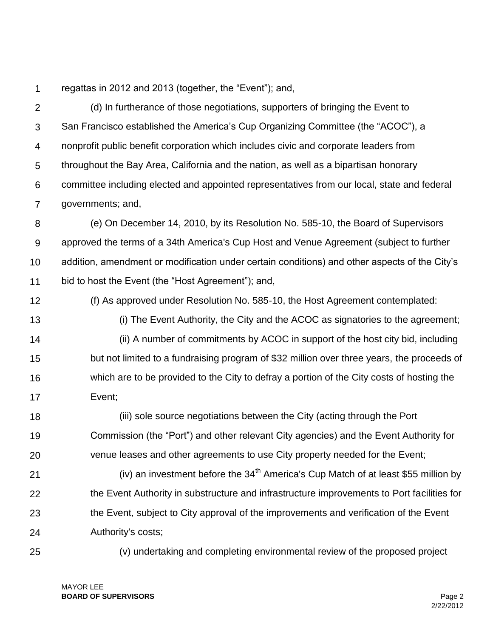1 regattas in 2012 and 2013 (together, the "Event"); and,

 $\mathcal{P}$ 3 4 5 6 7 (d) In furtherance of those negotiations, supporters of bringing the Event to San Francisco established the America's Cup Organizing Committee (the "ACOC"), a nonprofit public benefit corporation which includes civic and corporate leaders from throughout the Bay Area, California and the nation, as well as a bipartisan honorary committee including elected and appointed representatives from our local, state and federal governments; and,

8 9 10 11 (e) On December 14, 2010, by its Resolution No. 585-10, the Board of Supervisors approved the terms of a 34th America's Cup Host and Venue Agreement (subject to further addition, amendment or modification under certain conditions) and other aspects of the City's bid to host the Event (the "Host Agreement"); and,

- 12 (f) As approved under Resolution No. 585-10, the Host Agreement contemplated:
- 13

14 15 16 17 (i) The Event Authority, the City and the ACOC as signatories to the agreement; (ii) A number of commitments by ACOC in support of the host city bid, including but not limited to a fundraising program of \$32 million over three years, the proceeds of which are to be provided to the City to defray a portion of the City costs of hosting the Event;

18 19 20 (iii) sole source negotiations between the City (acting through the Port Commission (the "Port") and other relevant City agencies) and the Event Authority for venue leases and other agreements to use City property needed for the Event;

21 22 23 24 (iv) an investment before the  $34<sup>th</sup>$  America's Cup Match of at least \$55 million by the Event Authority in substructure and infrastructure improvements to Port facilities for the Event, subject to City approval of the improvements and verification of the Event Authority's costs;

25

(v) undertaking and completing environmental review of the proposed project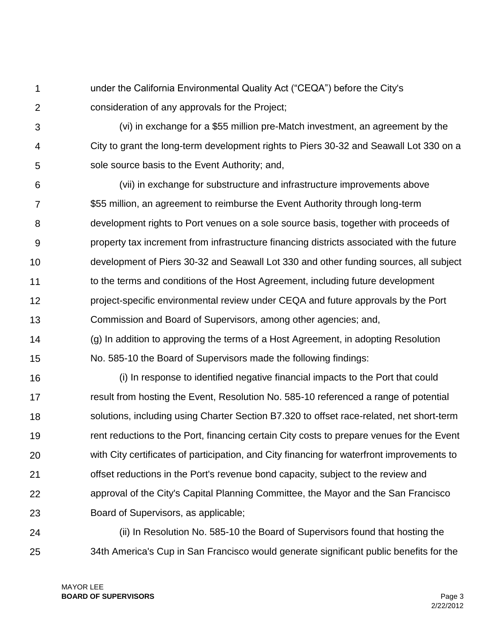- 1  $\mathcal{P}$ under the California Environmental Quality Act ("CEQA") before the City's consideration of any approvals for the Project;
- 3 4 5 (vi) in exchange for a \$55 million pre-Match investment, an agreement by the City to grant the long-term development rights to Piers 30-32 and Seawall Lot 330 on a sole source basis to the Event Authority; and,
- 6 7 8 9 10 11 12 13 (vii) in exchange for substructure and infrastructure improvements above \$55 million, an agreement to reimburse the Event Authority through long-term development rights to Port venues on a sole source basis, together with proceeds of property tax increment from infrastructure financing districts associated with the future development of Piers 30-32 and Seawall Lot 330 and other funding sources, all subject to the terms and conditions of the Host Agreement, including future development project-specific environmental review under CEQA and future approvals by the Port Commission and Board of Supervisors, among other agencies; and,
- 14 15 (g) In addition to approving the terms of a Host Agreement, in adopting Resolution No. 585-10 the Board of Supervisors made the following findings:
- 16 17 18 19 20 21 22 23 (i) In response to identified negative financial impacts to the Port that could result from hosting the Event, Resolution No. 585-10 referenced a range of potential solutions, including using Charter Section B7.320 to offset race-related, net short-term rent reductions to the Port, financing certain City costs to prepare venues for the Event with City certificates of participation, and City financing for waterfront improvements to offset reductions in the Port's revenue bond capacity, subject to the review and approval of the City's Capital Planning Committee, the Mayor and the San Francisco Board of Supervisors, as applicable;
- 24 25 (ii) In Resolution No. 585-10 the Board of Supervisors found that hosting the 34th America's Cup in San Francisco would generate significant public benefits for the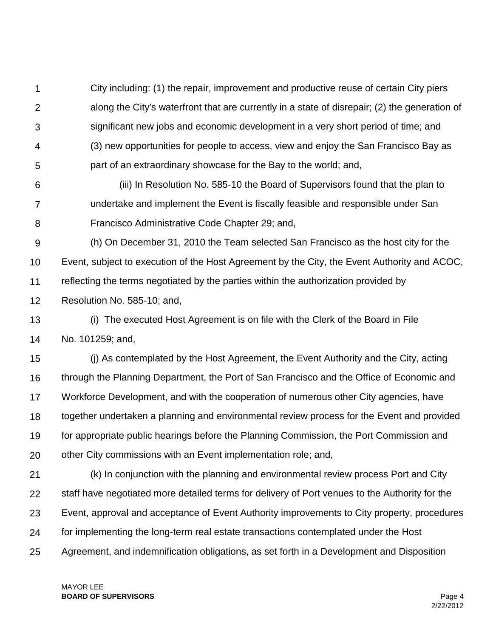1  $\mathcal{P}$ 3 4 5 City including: (1) the repair, improvement and productive reuse of certain City piers along the City's waterfront that are currently in a state of disrepair; (2) the generation of significant new jobs and economic development in a very short period of time; and (3) new opportunities for people to access, view and enjoy the San Francisco Bay as part of an extraordinary showcase for the Bay to the world; and,

- 6 7 8 (iii) In Resolution No. 585-10 the Board of Supervisors found that the plan to undertake and implement the Event is fiscally feasible and responsible under San Francisco Administrative Code Chapter 29; and,
- 9 10 11 12 (h) On December 31, 2010 the Team selected San Francisco as the host city for the Event, subject to execution of the Host Agreement by the City, the Event Authority and ACOC, reflecting the terms negotiated by the parties within the authorization provided by Resolution No. 585-10; and,

13 14 (i) The executed Host Agreement is on file with the Clerk of the Board in File No. 101259; and,

15 16 17 18 19 20 (j) As contemplated by the Host Agreement, the Event Authority and the City, acting through the Planning Department, the Port of San Francisco and the Office of Economic and Workforce Development, and with the cooperation of numerous other City agencies, have together undertaken a planning and environmental review process for the Event and provided for appropriate public hearings before the Planning Commission, the Port Commission and other City commissions with an Event implementation role; and,

21 22 23 24 25 (k) In conjunction with the planning and environmental review process Port and City staff have negotiated more detailed terms for delivery of Port venues to the Authority for the Event, approval and acceptance of Event Authority improvements to City property, procedures for implementing the long-term real estate transactions contemplated under the Host Agreement, and indemnification obligations, as set forth in a Development and Disposition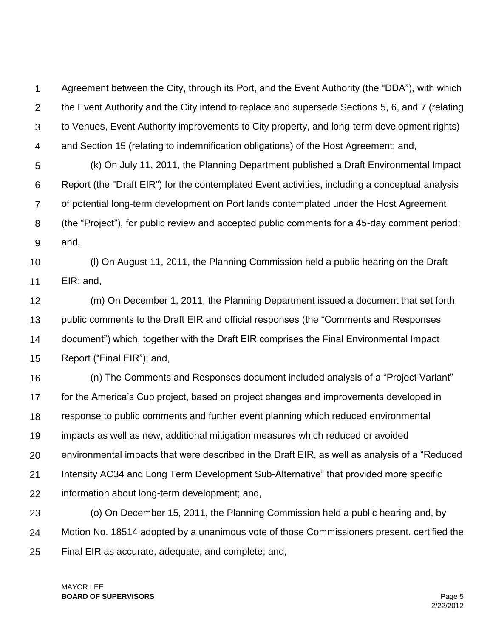1  $\mathcal{P}$ 3 4 Agreement between the City, through its Port, and the Event Authority (the "DDA"), with which the Event Authority and the City intend to replace and supersede Sections 5, 6, and 7 (relating to Venues, Event Authority improvements to City property, and long-term development rights) and Section 15 (relating to indemnification obligations) of the Host Agreement; and,

5 6 7 8 9 (k) On July 11, 2011, the Planning Department published a Draft Environmental Impact Report (the "Draft EIR") for the contemplated Event activities, including a conceptual analysis of potential long-term development on Port lands contemplated under the Host Agreement (the "Project"), for public review and accepted public comments for a 45-day comment period; and,

10 11 (l) On August 11, 2011, the Planning Commission held a public hearing on the Draft EIR; and,

12 13 14 15 (m) On December 1, 2011, the Planning Department issued a document that set forth public comments to the Draft EIR and official responses (the "Comments and Responses document") which, together with the Draft EIR comprises the Final Environmental Impact Report ("Final EIR"); and,

16 17 18 19 20 21 22 (n) The Comments and Responses document included analysis of a "Project Variant" for the America's Cup project, based on project changes and improvements developed in response to public comments and further event planning which reduced environmental impacts as well as new, additional mitigation measures which reduced or avoided environmental impacts that were described in the Draft EIR, as well as analysis of a "Reduced Intensity AC34 and Long Term Development Sub-Alternative" that provided more specific information about long-term development; and,

23 24 25 (o) On December 15, 2011, the Planning Commission held a public hearing and, by Motion No. 18514 adopted by a unanimous vote of those Commissioners present, certified the Final EIR as accurate, adequate, and complete; and,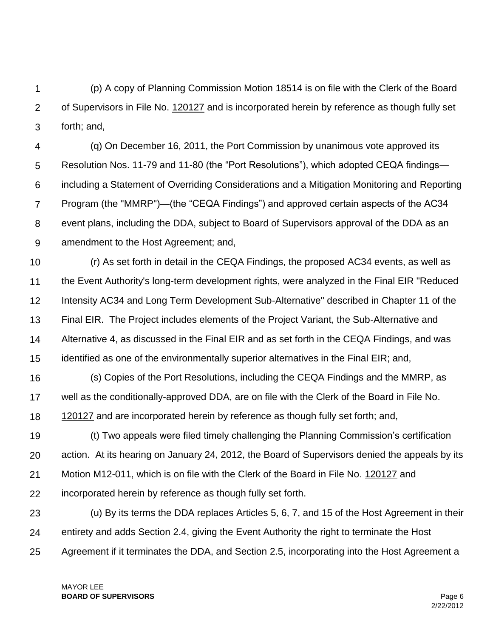1  $\mathcal{P}$ 3 (p) A copy of Planning Commission Motion 18514 is on file with the Clerk of the Board of Supervisors in File No. 120127 and is incorporated herein by reference as though fully set forth; and,

4 5 6 7 8 9 (q) On December 16, 2011, the Port Commission by unanimous vote approved its Resolution Nos. 11-79 and 11-80 (the "Port Resolutions"), which adopted CEQA findings including a Statement of Overriding Considerations and a Mitigation Monitoring and Reporting Program (the "MMRP")—(the "CEQA Findings") and approved certain aspects of the AC34 event plans, including the DDA, subject to Board of Supervisors approval of the DDA as an amendment to the Host Agreement; and,

10 11 12 13 14 15 (r) As set forth in detail in the CEQA Findings, the proposed AC34 events, as well as the Event Authority's long-term development rights, were analyzed in the Final EIR "Reduced Intensity AC34 and Long Term Development Sub-Alternative" described in Chapter 11 of the Final EIR. The Project includes elements of the Project Variant, the Sub-Alternative and Alternative 4, as discussed in the Final EIR and as set forth in the CEQA Findings, and was identified as one of the environmentally superior alternatives in the Final EIR; and,

16 17 18 (s) Copies of the Port Resolutions, including the CEQA Findings and the MMRP, as well as the conditionally-approved DDA, are on file with the Clerk of the Board in File No. 120127 and are incorporated herein by reference as though fully set forth; and,

19 20 21 22 (t) Two appeals were filed timely challenging the Planning Commission's certification action. At its hearing on January 24, 2012, the Board of Supervisors denied the appeals by its Motion M12-011, which is on file with the Clerk of the Board in File No. 120127 and incorporated herein by reference as though fully set forth.

23 24 25 (u) By its terms the DDA replaces Articles 5, 6, 7, and 15 of the Host Agreement in their entirety and adds Section 2.4, giving the Event Authority the right to terminate the Host Agreement if it terminates the DDA, and Section 2.5, incorporating into the Host Agreement a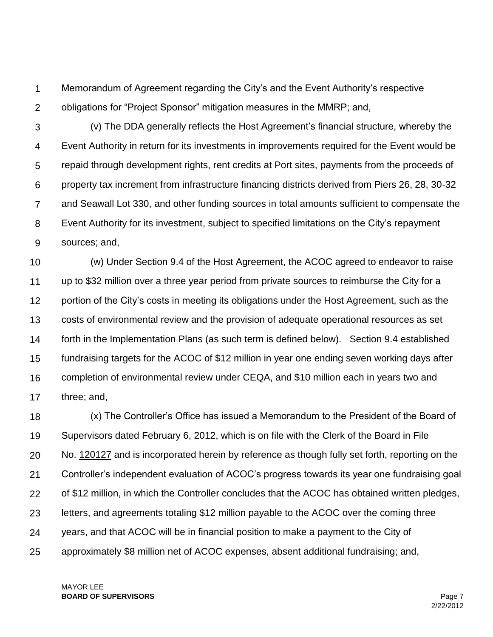1  $\mathcal{P}$ Memorandum of Agreement regarding the City's and the Event Authority's respective obligations for "Project Sponsor" mitigation measures in the MMRP; and,

3 4 5 6 7 8 9 (v) The DDA generally reflects the Host Agreement's financial structure, whereby the Event Authority in return for its investments in improvements required for the Event would be repaid through development rights, rent credits at Port sites, payments from the proceeds of property tax increment from infrastructure financing districts derived from Piers 26, 28, 30-32 and Seawall Lot 330, and other funding sources in total amounts sufficient to compensate the Event Authority for its investment, subject to specified limitations on the City's repayment sources; and,

10 11 12 13 14 15 16 17 (w) Under Section 9.4 of the Host Agreement, the ACOC agreed to endeavor to raise up to \$32 million over a three year period from private sources to reimburse the City for a portion of the City's costs in meeting its obligations under the Host Agreement, such as the costs of environmental review and the provision of adequate operational resources as set forth in the Implementation Plans (as such term is defined below). Section 9.4 established fundraising targets for the ACOC of \$12 million in year one ending seven working days after completion of environmental review under CEQA, and \$10 million each in years two and three; and,

18 19 20 21 22 23 24 25 (x) The Controller's Office has issued a Memorandum to the President of the Board of Supervisors dated February 6, 2012, which is on file with the Clerk of the Board in File No. 120127 and is incorporated herein by reference as though fully set forth, reporting on the Controller's independent evaluation of ACOC's progress towards its year one fundraising goal of \$12 million, in which the Controller concludes that the ACOC has obtained written pledges, letters, and agreements totaling \$12 million payable to the ACOC over the coming three years, and that ACOC will be in financial position to make a payment to the City of approximately \$8 million net of ACOC expenses, absent additional fundraising; and,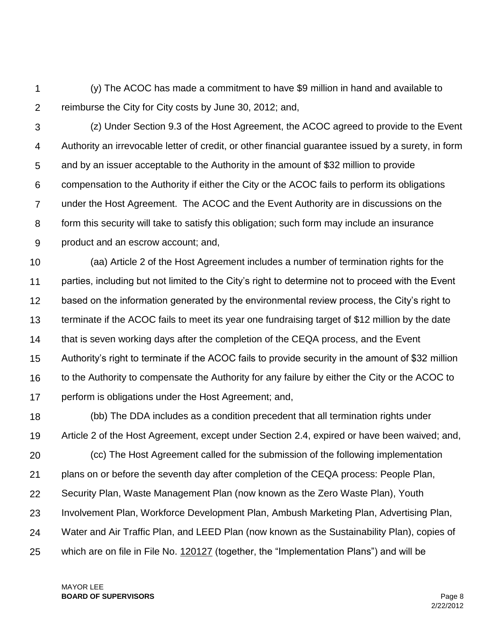1  $\mathcal{P}$ (y) The ACOC has made a commitment to have \$9 million in hand and available to reimburse the City for City costs by June 30, 2012; and,

3 4 5 6 7 8 9 (z) Under Section 9.3 of the Host Agreement, the ACOC agreed to provide to the Event Authority an irrevocable letter of credit, or other financial guarantee issued by a surety, in form and by an issuer acceptable to the Authority in the amount of \$32 million to provide compensation to the Authority if either the City or the ACOC fails to perform its obligations under the Host Agreement. The ACOC and the Event Authority are in discussions on the form this security will take to satisfy this obligation; such form may include an insurance product and an escrow account; and,

10 11 12 13 14 15 16 17 (aa) Article 2 of the Host Agreement includes a number of termination rights for the parties, including but not limited to the City's right to determine not to proceed with the Event based on the information generated by the environmental review process, the City's right to terminate if the ACOC fails to meet its year one fundraising target of \$12 million by the date that is seven working days after the completion of the CEQA process, and the Event Authority's right to terminate if the ACOC fails to provide security in the amount of \$32 million to the Authority to compensate the Authority for any failure by either the City or the ACOC to perform is obligations under the Host Agreement; and,

18 19 20 21 22 23 24 25 (bb) The DDA includes as a condition precedent that all termination rights under Article 2 of the Host Agreement, except under Section 2.4, expired or have been waived; and, (cc) The Host Agreement called for the submission of the following implementation plans on or before the seventh day after completion of the CEQA process: People Plan, Security Plan, Waste Management Plan (now known as the Zero Waste Plan), Youth Involvement Plan, Workforce Development Plan, Ambush Marketing Plan, Advertising Plan, Water and Air Traffic Plan, and LEED Plan (now known as the Sustainability Plan), copies of which are on file in File No. 120127 (together, the "Implementation Plans") and will be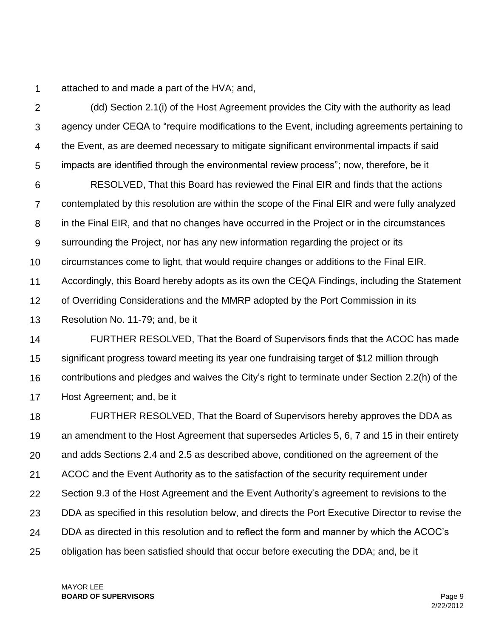1 attached to and made a part of the HVA; and,

 $\mathcal{P}$ 3 4 5 (dd) Section 2.1(i) of the Host Agreement provides the City with the authority as lead agency under CEQA to "require modifications to the Event, including agreements pertaining to the Event, as are deemed necessary to mitigate significant environmental impacts if said impacts are identified through the environmental review process"; now, therefore, be it

6 7 8 9 10 11 RESOLVED, That this Board has reviewed the Final EIR and finds that the actions contemplated by this resolution are within the scope of the Final EIR and were fully analyzed in the Final EIR, and that no changes have occurred in the Project or in the circumstances surrounding the Project, nor has any new information regarding the project or its circumstances come to light, that would require changes or additions to the Final EIR. Accordingly, this Board hereby adopts as its own the CEQA Findings, including the Statement

12 of Overriding Considerations and the MMRP adopted by the Port Commission in its

13 Resolution No. 11-79; and, be it

14 15 16 17 FURTHER RESOLVED, That the Board of Supervisors finds that the ACOC has made significant progress toward meeting its year one fundraising target of \$12 million through contributions and pledges and waives the City's right to terminate under Section 2.2(h) of the Host Agreement; and, be it

18 19 20 21 22 23 24 25 FURTHER RESOLVED, That the Board of Supervisors hereby approves the DDA as an amendment to the Host Agreement that supersedes Articles 5, 6, 7 and 15 in their entirety and adds Sections 2.4 and 2.5 as described above, conditioned on the agreement of the ACOC and the Event Authority as to the satisfaction of the security requirement under Section 9.3 of the Host Agreement and the Event Authority's agreement to revisions to the DDA as specified in this resolution below, and directs the Port Executive Director to revise the DDA as directed in this resolution and to reflect the form and manner by which the ACOC's obligation has been satisfied should that occur before executing the DDA; and, be it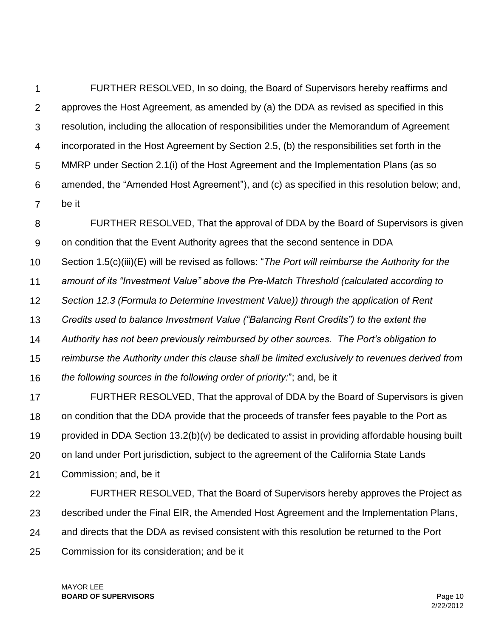1  $\mathcal{P}$ 3 4 5 6 7 FURTHER RESOLVED, In so doing, the Board of Supervisors hereby reaffirms and approves the Host Agreement, as amended by (a) the DDA as revised as specified in this resolution, including the allocation of responsibilities under the Memorandum of Agreement incorporated in the Host Agreement by Section 2.5, (b) the responsibilities set forth in the MMRP under Section 2.1(i) of the Host Agreement and the Implementation Plans (as so amended, the "Amended Host Agreement"), and (c) as specified in this resolution below; and, be it

8 9 10 11 12 13 14 15 16 17 18 19 20 21 22 FURTHER RESOLVED, That the approval of DDA by the Board of Supervisors is given on condition that the Event Authority agrees that the second sentence in DDA Section 1.5(c)(iii)(E) will be revised as follows: "*The Port will reimburse the Authority for the amount of its "Investment Value" above the Pre-Match Threshold (calculated according to Section 12.3 (Formula to Determine Investment Value)) through the application of Rent Credits used to balance Investment Value ("Balancing Rent Credits") to the extent the Authority has not been previously reimbursed by other sources. The Port's obligation to reimburse the Authority under this clause shall be limited exclusively to revenues derived from the following sources in the following order of priority:*"; and, be it FURTHER RESOLVED, That the approval of DDA by the Board of Supervisors is given on condition that the DDA provide that the proceeds of transfer fees payable to the Port as provided in DDA Section 13.2(b)(v) be dedicated to assist in providing affordable housing built on land under Port jurisdiction, subject to the agreement of the California State Lands Commission; and, be it FURTHER RESOLVED, That the Board of Supervisors hereby approves the Project as

23 described under the Final EIR, the Amended Host Agreement and the Implementation Plans,

24 and directs that the DDA as revised consistent with this resolution be returned to the Port

25 Commission for its consideration; and be it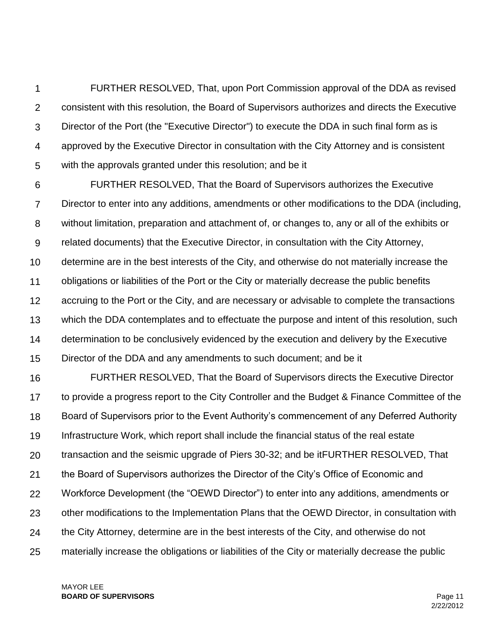1  $\mathcal{P}$ 3 4 5 FURTHER RESOLVED, That, upon Port Commission approval of the DDA as revised consistent with this resolution, the Board of Supervisors authorizes and directs the Executive Director of the Port (the "Executive Director") to execute the DDA in such final form as is approved by the Executive Director in consultation with the City Attorney and is consistent with the approvals granted under this resolution; and be it

6 7 8 9 10 11 12 13 14 15 FURTHER RESOLVED, That the Board of Supervisors authorizes the Executive Director to enter into any additions, amendments or other modifications to the DDA (including, without limitation, preparation and attachment of, or changes to, any or all of the exhibits or related documents) that the Executive Director, in consultation with the City Attorney, determine are in the best interests of the City, and otherwise do not materially increase the obligations or liabilities of the Port or the City or materially decrease the public benefits accruing to the Port or the City, and are necessary or advisable to complete the transactions which the DDA contemplates and to effectuate the purpose and intent of this resolution, such determination to be conclusively evidenced by the execution and delivery by the Executive Director of the DDA and any amendments to such document; and be it

16 17 18 19 20 21 22 23 24 25 FURTHER RESOLVED, That the Board of Supervisors directs the Executive Director to provide a progress report to the City Controller and the Budget & Finance Committee of the Board of Supervisors prior to the Event Authority's commencement of any Deferred Authority Infrastructure Work, which report shall include the financial status of the real estate transaction and the seismic upgrade of Piers 30-32; and be itFURTHER RESOLVED, That the Board of Supervisors authorizes the Director of the City's Office of Economic and Workforce Development (the "OEWD Director") to enter into any additions, amendments or other modifications to the Implementation Plans that the OEWD Director, in consultation with the City Attorney, determine are in the best interests of the City, and otherwise do not materially increase the obligations or liabilities of the City or materially decrease the public